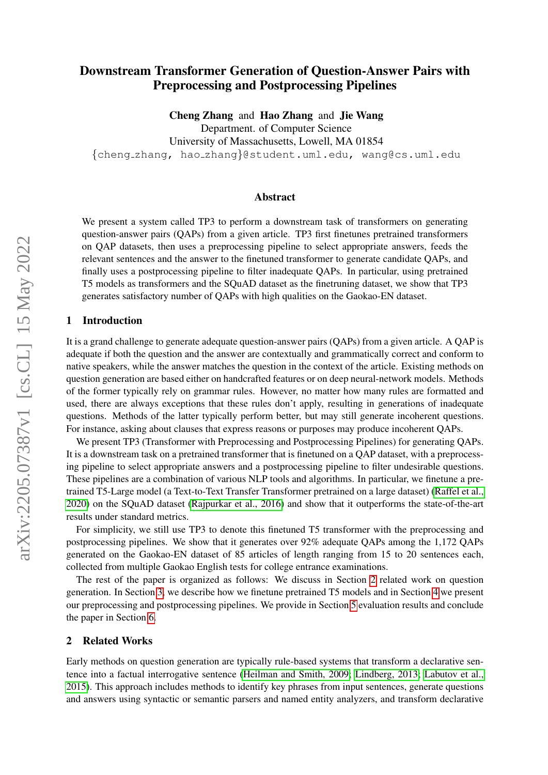# Downstream Transformer Generation of Question-Answer Pairs with Preprocessing and Postprocessing Pipelines

Cheng Zhang and Hao Zhang and Jie Wang

Department. of Computer Science

University of Massachusetts, Lowell, MA 01854

{cheng zhang, hao zhang}@student.uml.edu, wang@cs.uml.edu

#### Abstract

We present a system called TP3 to perform a downstream task of transformers on generating question-answer pairs (QAPs) from a given article. TP3 first finetunes pretrained transformers on QAP datasets, then uses a preprocessing pipeline to select appropriate answers, feeds the relevant sentences and the answer to the finetuned transformer to generate candidate QAPs, and finally uses a postprocessing pipeline to filter inadequate QAPs. In particular, using pretrained T5 models as transformers and the SQuAD dataset as the finetruning dataset, we show that TP3 generates satisfactory number of QAPs with high qualities on the Gaokao-EN dataset.

#### 1 Introduction

It is a grand challenge to generate adequate question-answer pairs (QAPs) from a given article. A QAP is adequate if both the question and the answer are contextually and grammatically correct and conform to native speakers, while the answer matches the question in the context of the article. Existing methods on question generation are based either on handcrafted features or on deep neural-network models. Methods of the former typically rely on grammar rules. However, no matter how many rules are formatted and used, there are always exceptions that these rules don't apply, resulting in generations of inadequate questions. Methods of the latter typically perform better, but may still generate incoherent questions. For instance, asking about clauses that express reasons or purposes may produce incoherent QAPs.

We present TP3 (Transformer with Preprocessing and Postprocessing Pipelines) for generating QAPs. It is a downstream task on a pretrained transformer that is finetuned on a QAP dataset, with a preprocessing pipeline to select appropriate answers and a postprocessing pipeline to filter undesirable questions. These pipelines are a combination of various NLP tools and algorithms. In particular, we finetune a pretrained T5-Large model (a Text-to-Text Transfer Transformer pretrained on a large dataset) [\(Raffel et al.,](#page-9-0) [2020\)](#page-9-0) on the SQuAD dataset [\(Rajpurkar et al., 2016\)](#page-9-1) and show that it outperforms the state-of-the-art results under standard metrics.

For simplicity, we still use TP3 to denote this finetuned T5 transformer with the preprocessing and postprocessing pipelines. We show that it generates over 92% adequate QAPs among the 1,172 QAPs generated on the Gaokao-EN dataset of 85 articles of length ranging from 15 to 20 sentences each, collected from multiple Gaokao English tests for college entrance examinations.

The rest of the paper is organized as follows: We discuss in Section [2](#page-0-0) related work on question generation. In Section [3,](#page-1-0) we describe how we finetune pretrained T5 models and in Section [4](#page-2-0) we present our preprocessing and postprocessing pipelines. We provide in Section [5](#page-5-0) evaluation results and conclude the paper in Section [6.](#page-7-0)

#### <span id="page-0-0"></span>2 Related Works

Early methods on question generation are typically rule-based systems that transform a declarative sentence into a factual interrogative sentence [\(Heilman and Smith, 2009;](#page-8-0) [Lindberg, 2013;](#page-8-1) [Labutov et al.,](#page-8-2) [2015\)](#page-8-2). This approach includes methods to identify key phrases from input sentences, generate questions and answers using syntactic or semantic parsers and named entity analyzers, and transform declarative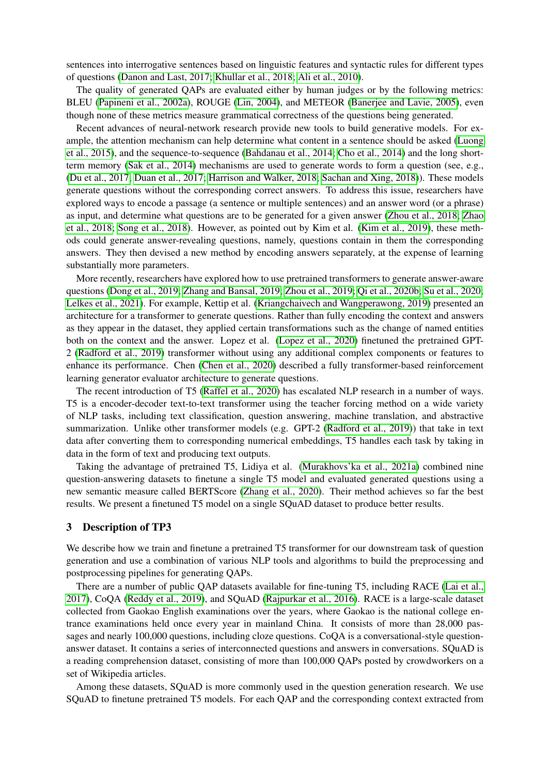sentences into interrogative sentences based on linguistic features and syntactic rules for different types of questions [\(Danon and Last, 2017;](#page-7-1) [Khullar et al., 2018;](#page-8-3) [Ali et al., 2010\)](#page-7-2).

The quality of generated QAPs are evaluated either by human judges or by the following metrics: BLEU [\(Papineni et al., 2002a\)](#page-9-2), ROUGE [\(Lin, 2004\)](#page-8-4), and METEOR [\(Banerjee and Lavie, 2005\)](#page-7-3), even though none of these metrics measure grammatical correctness of the questions being generated.

Recent advances of neural-network research provide new tools to build generative models. For example, the attention mechanism can help determine what content in a sentence should be asked [\(Luong](#page-8-5) [et al., 2015\)](#page-8-5), and the sequence-to-sequence [\(Bahdanau et al., 2014;](#page-7-4) [Cho et al., 2014\)](#page-7-5) and the long shortterm memory [\(Sak et al., 2014\)](#page-9-3) mechanisms are used to generate words to form a question (see, e.g., [\(Du et al., 2017;](#page-7-6) [Duan et al., 2017;](#page-7-7) [Harrison and Walker, 2018;](#page-8-6) [Sachan and Xing, 2018\)](#page-9-4)). These models generate questions without the corresponding correct answers. To address this issue, researchers have explored ways to encode a passage (a sentence or multiple sentences) and an answer word (or a phrase) as input, and determine what questions are to be generated for a given answer [\(Zhou et al., 2018;](#page-10-0) [Zhao](#page-10-1) [et al., 2018;](#page-10-1) [Song et al., 2018\)](#page-9-5). However, as pointed out by Kim et al. [\(Kim et al., 2019\)](#page-8-7), these methods could generate answer-revealing questions, namely, questions contain in them the corresponding answers. They then devised a new method by encoding answers separately, at the expense of learning substantially more parameters.

More recently, researchers have explored how to use pretrained transformers to generate answer-aware questions [\(Dong et al., 2019;](#page-7-8) [Zhang and Bansal, 2019;](#page-10-2) [Zhou et al., 2019;](#page-10-3) [Qi et al., 2020b;](#page-9-6) [Su et al., 2020;](#page-9-7) [Lelkes et al., 2021\)](#page-8-8). For example, Kettip et al. [\(Kriangchaivech and Wangperawong, 2019\)](#page-8-9) presented an architecture for a transformer to generate questions. Rather than fully encoding the context and answers as they appear in the dataset, they applied certain transformations such as the change of named entities both on the context and the answer. Lopez et al. [\(Lopez et al., 2020\)](#page-8-10) finetuned the pretrained GPT-2 [\(Radford et al., 2019\)](#page-9-8) transformer without using any additional complex components or features to enhance its performance. Chen [\(Chen et al., 2020\)](#page-7-9) described a fully transformer-based reinforcement learning generator evaluator architecture to generate questions.

The recent introduction of T5 [\(Raffel et al., 2020\)](#page-9-0) has escalated NLP research in a number of ways. T5 is a encoder-decoder text-to-text transformer using the teacher forcing method on a wide variety of NLP tasks, including text classification, question answering, machine translation, and abstractive summarization. Unlike other transformer models (e.g. GPT-2 [\(Radford et al., 2019\)](#page-9-8)) that take in text data after converting them to corresponding numerical embeddings, T5 handles each task by taking in data in the form of text and producing text outputs.

Taking the advantage of pretrained T5, Lidiya et al. [\(Murakhovs'ka et al., 2021a\)](#page-8-11) combined nine question-answering datasets to finetune a single T5 model and evaluated generated questions using a new semantic measure called BERTScore [\(Zhang et al., 2020\)](#page-10-4). Their method achieves so far the best results. We present a finetuned T5 model on a single SQuAD dataset to produce better results.

#### <span id="page-1-0"></span>3 Description of TP3

We describe how we train and finetune a pretrained T5 transformer for our downstream task of question generation and use a combination of various NLP tools and algorithms to build the preprocessing and postprocessing pipelines for generating QAPs.

There are a number of public QAP datasets available for fine-tuning T5, including RACE [\(Lai et al.,](#page-8-12) [2017\)](#page-8-12), CoQA [\(Reddy et al., 2019\)](#page-9-9), and SQuAD [\(Rajpurkar et al., 2016\)](#page-9-1). RACE is a large-scale dataset collected from Gaokao English examinations over the years, where Gaokao is the national college entrance examinations held once every year in mainland China. It consists of more than 28,000 passages and nearly 100,000 questions, including cloze questions. CoQA is a conversational-style questionanswer dataset. It contains a series of interconnected questions and answers in conversations. SQuAD is a reading comprehension dataset, consisting of more than 100,000 QAPs posted by crowdworkers on a set of Wikipedia articles.

Among these datasets, SQuAD is more commonly used in the question generation research. We use SQuAD to finetune pretrained T5 models. For each QAP and the corresponding context extracted from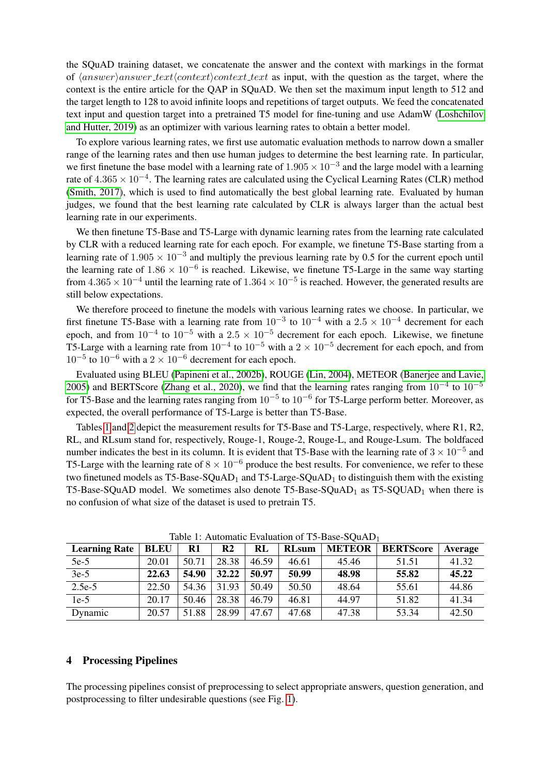the SQuAD training dataset, we concatenate the answer and the context with markings in the format of  $\langle answer \rangle answer \textit{text/context}\rangle context \textit{text}$  as input, with the question as the target, where the context is the entire article for the QAP in SQuAD. We then set the maximum input length to 512 and the target length to 128 to avoid infinite loops and repetitions of target outputs. We feed the concatenated text input and question target into a pretrained T5 model for fine-tuning and use AdamW [\(Loshchilov](#page-8-13) [and Hutter, 2019\)](#page-8-13) as an optimizer with various learning rates to obtain a better model.

To explore various learning rates, we first use automatic evaluation methods to narrow down a smaller range of the learning rates and then use human judges to determine the best learning rate. In particular, we first finetune the base model with a learning rate of  $1.905 \times 10^{-3}$  and the large model with a learning rate of  $4.365 \times 10^{-4}$ . The learning rates are calculated using the Cyclical Learning Rates (CLR) method [\(Smith, 2017\)](#page-9-10), which is used to find automatically the best global learning rate. Evaluated by human judges, we found that the best learning rate calculated by CLR is always larger than the actual best learning rate in our experiments.

We then finetune T5-Base and T5-Large with dynamic learning rates from the learning rate calculated by CLR with a reduced learning rate for each epoch. For example, we finetune T5-Base starting from a learning rate of  $1.905 \times 10^{-3}$  and multiply the previous learning rate by 0.5 for the current epoch until the learning rate of  $1.86 \times 10^{-6}$  is reached. Likewise, we finetune T5-Large in the same way starting from  $4.365 \times 10^{-4}$  until the learning rate of  $1.364 \times 10^{-5}$  is reached. However, the generated results are still below expectations.

We therefore proceed to finetune the models with various learning rates we choose. In particular, we first finetune T5-Base with a learning rate from  $10^{-3}$  to  $10^{-4}$  with a  $2.5 \times 10^{-4}$  decrement for each epoch, and from  $10^{-4}$  to  $10^{-5}$  with a  $2.5 \times 10^{-5}$  decrement for each epoch. Likewise, we finetune T5-Large with a learning rate from  $10^{-4}$  to  $10^{-5}$  with a  $2 \times 10^{-5}$  decrement for each epoch, and from  $10^{-5}$  to  $10^{-6}$  with a 2 ×  $10^{-6}$  decrement for each epoch.

Evaluated using BLEU [\(Papineni et al., 2002b\)](#page-9-11), ROUGE [\(Lin, 2004\)](#page-8-4), METEOR [\(Banerjee and Lavie,](#page-7-3) [2005\)](#page-7-3) and BERTScore [\(Zhang et al., 2020\)](#page-10-4), we find that the learning rates ranging from  $10^{-4}$  to  $10^{-5}$ for T5-Base and the learning rates ranging from  $10^{-5}$  to  $10^{-6}$  for T5-Large perform better. Moreover, as expected, the overall performance of T5-Large is better than T5-Base.

Tables [1](#page-2-1) and [2](#page-3-0) depict the measurement results for T5-Base and T5-Large, respectively, where R1, R2, RL, and RLsum stand for, respectively, Rouge-1, Rouge-2, Rouge-L, and Rouge-Lsum. The boldfaced number indicates the best in its column. It is evident that T5-Base with the learning rate of  $3 \times 10^{-5}$  and T5-Large with the learning rate of  $8 \times 10^{-6}$  produce the best results. For convenience, we refer to these two finetuned models as  $T5-Base-SQuAD<sub>1</sub>$  and  $T5-Large-SQuAD<sub>1</sub>$  to distinguish them with the existing T5-Base-SQuAD model. We sometimes also denote  $T5$ -Base-SQuAD<sub>1</sub> as  $T5$ -SQUAD<sub>1</sub> when there is no confusion of what size of the dataset is used to pretrain T5.

| <b>Learning Rate</b> | <b>BLEU</b> | $\mathbf{R}1$ | R <sub>2</sub> | RL    | <b>RLsum</b> | <b>METEOR</b> | <b>BERTScore</b> | Average |
|----------------------|-------------|---------------|----------------|-------|--------------|---------------|------------------|---------|
| $5e-5$               | 20.01       | 50.71         | 28.38          | 46.59 | 46.61        | 45.46         | 51.51            | 41.32   |
| $3e-5$               | 22.63       | 54.90         | 32.22          | 50.97 | 50.99        | 48.98         | 55.82            | 45.22   |
| $2.5e-5$             | 22.50       | 54.36         | 31.93          | 50.49 | 50.50        | 48.64         | 55.61            | 44.86   |
| $1e-5$               | 20.17       | 50.46         | 28.38          | 46.79 | 46.81        | 44.97         | 51.82            | 41.34   |
| Dynamic              | 20.57       | 51.88         | 28.99          | 47.67 | 47.68        | 47.38         | 53.34            | 42.50   |

<span id="page-2-1"></span>Table 1: Automatic Evaluation of T5-Base-SQuAD<sub>1</sub>

## <span id="page-2-0"></span>4 Processing Pipelines

The processing pipelines consist of preprocessing to select appropriate answers, question generation, and postprocessing to filter undesirable questions (see Fig. [1\)](#page-3-1).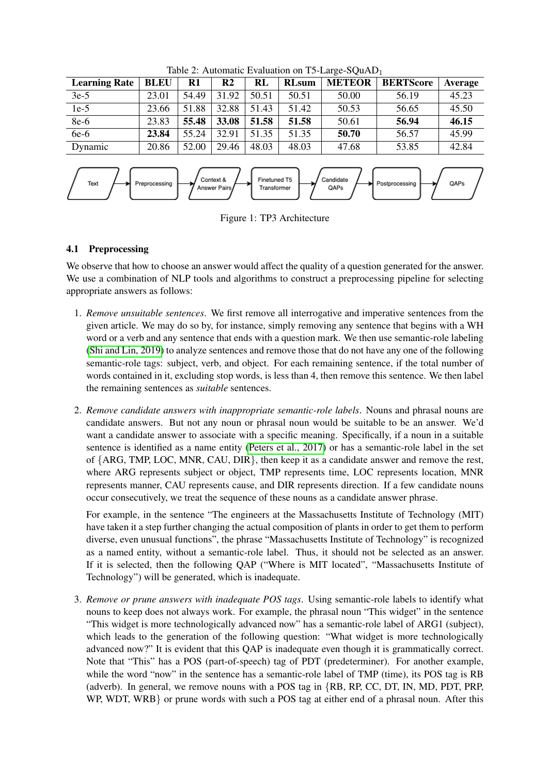| <b>Learning Rate</b> | <b>BLEU</b> | $\mathbf{R}1$ | R <sub>2</sub> | RL    | <b>RLsum</b> | <b>METEOR</b> | <b>BERTScore</b> | <b>Average</b> |
|----------------------|-------------|---------------|----------------|-------|--------------|---------------|------------------|----------------|
| $3e-5$               | 23.01       | 54.49         | 31.92          | 50.51 | 50.51        | 50.00         | 56.19            | 45.23          |
| $1e-5$               | 23.66       | 51.88         | 32.88          | 51.43 | 51.42        | 50.53         | 56.65            | 45.50          |
| 8e-6                 | 23.83       | 55.48         | 33.08          | 51.58 | 51.58        | 50.61         | 56.94            | 46.15          |
| $6e-6$               | 23.84       | 55.24         | 32.91          | 51.35 | 51.35        | 50.70         | 56.57            | 45.99          |
| Dynamic              | 20.86       | 52.00         | 29.46          | 48.03 | 48.03        | 47.68         | 53.85            | 42.84          |

<span id="page-3-0"></span>Table 2: Automatic Evaluation on T5-Large-SOuAD<sub>1</sub>



<span id="page-3-1"></span>Figure 1: TP3 Architecture

# 4.1 Preprocessing

We observe that how to choose an answer would affect the quality of a question generated for the answer. We use a combination of NLP tools and algorithms to construct a preprocessing pipeline for selecting appropriate answers as follows:

- 1. *Remove unsuitable sentences*. We first remove all interrogative and imperative sentences from the given article. We may do so by, for instance, simply removing any sentence that begins with a WH word or a verb and any sentence that ends with a question mark. We then use semantic-role labeling [\(Shi and Lin, 2019\)](#page-9-12) to analyze sentences and remove those that do not have any one of the following semantic-role tags: subject, verb, and object. For each remaining sentence, if the total number of words contained in it, excluding stop words, is less than 4, then remove this sentence. We then label the remaining sentences as *suitable* sentences.
- 2. *Remove candidate answers with inappropriate semantic-role labels*. Nouns and phrasal nouns are candidate answers. But not any noun or phrasal noun would be suitable to be an answer. We'd want a candidate answer to associate with a specific meaning. Specifically, if a noun in a suitable sentence is identified as a name entity [\(Peters et al., 2017\)](#page-9-13) or has a semantic-role label in the set of {ARG, TMP, LOC, MNR, CAU, DIR}, then keep it as a candidate answer and remove the rest, where ARG represents subject or object, TMP represents time, LOC represents location, MNR represents manner, CAU represents cause, and DIR represents direction. If a few candidate nouns occur consecutively, we treat the sequence of these nouns as a candidate answer phrase.

For example, in the sentence "The engineers at the Massachusetts Institute of Technology (MIT) have taken it a step further changing the actual composition of plants in order to get them to perform diverse, even unusual functions", the phrase "Massachusetts Institute of Technology" is recognized as a named entity, without a semantic-role label. Thus, it should not be selected as an answer. If it is selected, then the following QAP ("Where is MIT located", "Massachusetts Institute of Technology") will be generated, which is inadequate.

3. *Remove or prune answers with inadequate POS tags*. Using semantic-role labels to identify what nouns to keep does not always work. For example, the phrasal noun "This widget" in the sentence "This widget is more technologically advanced now" has a semantic-role label of ARG1 (subject), which leads to the generation of the following question: "What widget is more technologically advanced now?" It is evident that this QAP is inadequate even though it is grammatically correct. Note that "This" has a POS (part-of-speech) tag of PDT (predeterminer). For another example, while the word "now" in the sentence has a semantic-role label of TMP (time), its POS tag is RB (adverb). In general, we remove nouns with a POS tag in {RB, RP, CC, DT, IN, MD, PDT, PRP, WP, WDT, WRB or prune words with such a POS tag at either end of a phrasal noun. After this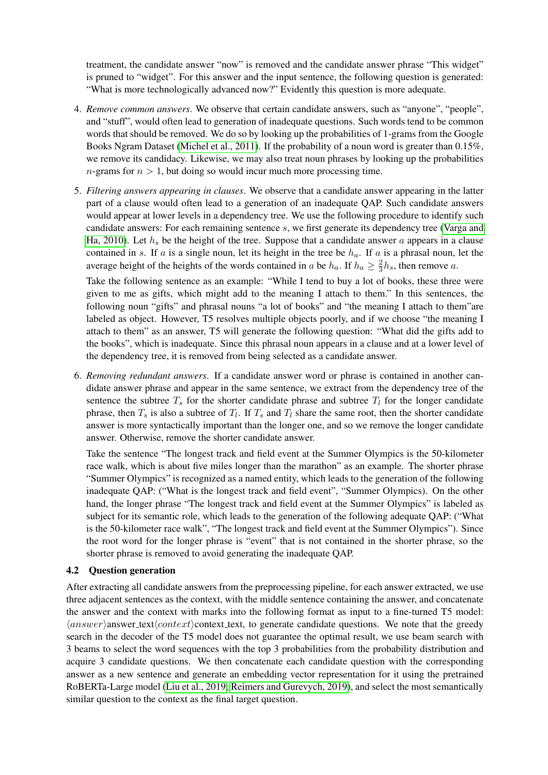treatment, the candidate answer "now" is removed and the candidate answer phrase "This widget" is pruned to "widget". For this answer and the input sentence, the following question is generated: "What is more technologically advanced now?" Evidently this question is more adequate.

- 4. *Remove common answers*. We observe that certain candidate answers, such as "anyone", "people", and "stuff", would often lead to generation of inadequate questions. Such words tend to be common words that should be removed. We do so by looking up the probabilities of 1-grams from the Google Books Ngram Dataset [\(Michel et al., 2011\)](#page-8-14). If the probability of a noun word is greater than 0.15%, we remove its candidacy. Likewise, we may also treat noun phrases by looking up the probabilities  $n$ -grams for  $n > 1$ , but doing so would incur much more processing time.
- 5. *Filtering answers appearing in clauses*. We observe that a candidate answer appearing in the latter part of a clause would often lead to a generation of an inadequate QAP. Such candidate answers would appear at lower levels in a dependency tree. We use the following procedure to identify such candidate answers: For each remaining sentence s, we first generate its dependency tree [\(Varga and](#page-9-14) [Ha, 2010\)](#page-9-14). Let  $h_s$  be the height of the tree. Suppose that a candidate answer a appears in a clause contained in s. If a is a single noun, let its height in the tree be  $h_a$ . If a is a phrasal noun, let the average height of the heights of the words contained in a be  $h_a$ . If  $h_a \geq \frac{2}{3}$  $\frac{2}{3}h_s$ , then remove a.

Take the following sentence as an example: "While I tend to buy a lot of books, these three were given to me as gifts, which might add to the meaning I attach to them." In this sentences, the following noun "gifts" and phrasal nouns "a lot of books" and "the meaning I attach to them"are labeled as object. However, T5 resolves multiple objects poorly, and if we choose "the meaning I attach to them" as an answer, T5 will generate the following question: "What did the gifts add to the books", which is inadequate. Since this phrasal noun appears in a clause and at a lower level of the dependency tree, it is removed from being selected as a candidate answer.

6. *Removing redundant answers*. If a candidate answer word or phrase is contained in another candidate answer phrase and appear in the same sentence, we extract from the dependency tree of the sentence the subtree  $T_s$  for the shorter candidate phrase and subtree  $T_l$  for the longer candidate phrase, then  $T_s$  is also a subtree of  $T_l$ . If  $T_s$  and  $T_l$  share the same root, then the shorter candidate answer is more syntactically important than the longer one, and so we remove the longer candidate answer. Otherwise, remove the shorter candidate answer.

Take the sentence "The longest track and field event at the Summer Olympics is the 50-kilometer race walk, which is about five miles longer than the marathon" as an example. The shorter phrase "Summer Olympics" is recognized as a named entity, which leads to the generation of the following inadequate QAP: ("What is the longest track and field event", "Summer Olympics). On the other hand, the longer phrase "The longest track and field event at the Summer Olympics" is labeled as subject for its semantic role, which leads to the generation of the following adequate QAP: ("What is the 50-kilometer race walk", "The longest track and field event at the Summer Olympics"). Since the root word for the longer phrase is "event" that is not contained in the shorter phrase, so the shorter phrase is removed to avoid generating the inadequate QAP.

### 4.2 Question generation

After extracting all candidate answers from the preprocessing pipeline, for each answer extracted, we use three adjacent sentences as the context, with the middle sentence containing the answer, and concatenate the answer and the context with marks into the following format as input to a fine-turned T5 model:  $\langle answer \rangle$  answer text $\langle context \rangle$  context text, to generate candidate questions. We note that the greedy search in the decoder of the T5 model does not guarantee the optimal result, we use beam search with 3 beams to select the word sequences with the top 3 probabilities from the probability distribution and acquire 3 candidate questions. We then concatenate each candidate question with the corresponding answer as a new sentence and generate an embedding vector representation for it using the pretrained RoBERTa-Large model [\(Liu et al., 2019;](#page-8-15) [Reimers and Gurevych, 2019\)](#page-9-15), and select the most semantically similar question to the context as the final target question.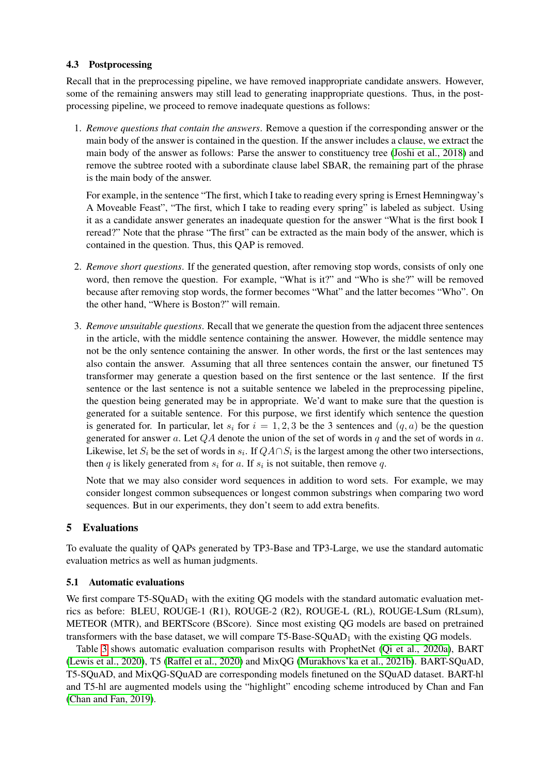## 4.3 Postprocessing

Recall that in the preprocessing pipeline, we have removed inappropriate candidate answers. However, some of the remaining answers may still lead to generating inappropriate questions. Thus, in the postprocessing pipeline, we proceed to remove inadequate questions as follows:

1. *Remove questions that contain the answers*. Remove a question if the corresponding answer or the main body of the answer is contained in the question. If the answer includes a clause, we extract the main body of the answer as follows: Parse the answer to constituency tree [\(Joshi et al., 2018\)](#page-8-16) and remove the subtree rooted with a subordinate clause label SBAR, the remaining part of the phrase is the main body of the answer.

For example, in the sentence "The first, which I take to reading every spring is Ernest Hemningway's A Moveable Feast", "The first, which I take to reading every spring" is labeled as subject. Using it as a candidate answer generates an inadequate question for the answer "What is the first book I reread?" Note that the phrase "The first" can be extracted as the main body of the answer, which is contained in the question. Thus, this QAP is removed.

- 2. *Remove short questions*. If the generated question, after removing stop words, consists of only one word, then remove the question. For example, "What is it?" and "Who is she?" will be removed because after removing stop words, the former becomes "What" and the latter becomes "Who". On the other hand, "Where is Boston?" will remain.
- 3. *Remove unsuitable questions*. Recall that we generate the question from the adjacent three sentences in the article, with the middle sentence containing the answer. However, the middle sentence may not be the only sentence containing the answer. In other words, the first or the last sentences may also contain the answer. Assuming that all three sentences contain the answer, our finetuned T5 transformer may generate a question based on the first sentence or the last sentence. If the first sentence or the last sentence is not a suitable sentence we labeled in the preprocessing pipeline, the question being generated may be in appropriate. We'd want to make sure that the question is generated for a suitable sentence. For this purpose, we first identify which sentence the question is generated for. In particular, let  $s_i$  for  $i = 1, 2, 3$  be the 3 sentences and  $(q, a)$  be the question generated for answer a. Let  $QA$  denote the union of the set of words in q and the set of words in a. Likewise, let  $S_i$  be the set of words in  $s_i$ . If  $QA \cap S_i$  is the largest among the other two intersections, then q is likely generated from  $s_i$  for a. If  $s_i$  is not suitable, then remove q.

Note that we may also consider word sequences in addition to word sets. For example, we may consider longest common subsequences or longest common substrings when comparing two word sequences. But in our experiments, they don't seem to add extra benefits.

# <span id="page-5-0"></span>5 Evaluations

To evaluate the quality of QAPs generated by TP3-Base and TP3-Large, we use the standard automatic evaluation metrics as well as human judgments.

# 5.1 Automatic evaluations

We first compare  $T5-SQuAD<sub>1</sub>$  with the exiting QG models with the standard automatic evaluation metrics as before: BLEU, ROUGE-1 (R1), ROUGE-2 (R2), ROUGE-L (RL), ROUGE-LSum (RLsum), METEOR (MTR), and BERTScore (BScore). Since most existing QG models are based on pretrained transformers with the base dataset, we will compare  $T5$ -Base-SQuAD<sub>1</sub> with the existing QG models.

Table [3](#page-6-0) shows automatic evaluation comparison results with ProphetNet [\(Qi et al., 2020a\)](#page-9-16), BART [\(Lewis et al., 2020\)](#page-8-17), T5 [\(Raffel et al., 2020\)](#page-9-0) and MixQG [\(Murakhovs'ka et al., 2021b\)](#page-9-17). BART-SQuAD, T5-SQuAD, and MixQG-SQuAD are corresponding models finetuned on the SQuAD dataset. BART-hl and T5-hl are augmented models using the "highlight" encoding scheme introduced by Chan and Fan [\(Chan and Fan, 2019\)](#page-7-10).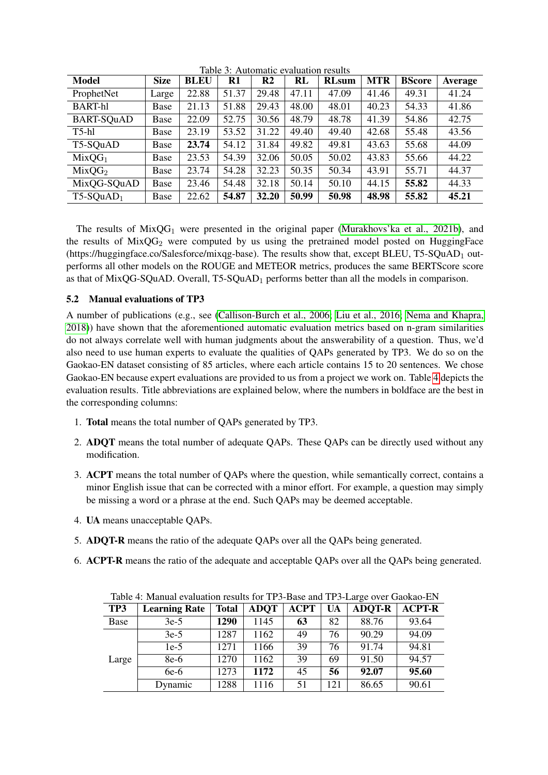| <b>Model</b>       | <b>Size</b> | <b>BLEU</b> | R1    | R <sub>2</sub> | <b>RL</b> | <b>RLsum</b> | <b>MTR</b> | <b>BScore</b> | Average |
|--------------------|-------------|-------------|-------|----------------|-----------|--------------|------------|---------------|---------|
| ProphetNet         | Large       | 22.88       | 51.37 | 29.48          | 47.11     | 47.09        | 41.46      | 49.31         | 41.24   |
| <b>BART-hl</b>     | Base        | 21.13       | 51.88 | 29.43          | 48.00     | 48.01        | 40.23      | 54.33         | 41.86   |
| BART-SQuAD         | Base        | 22.09       | 52.75 | 30.56          | 48.79     | 48.78        | 41.39      | 54.86         | 42.75   |
| $T5-hl$            | Base        | 23.19       | 53.52 | 31.22          | 49.40     | 49.40        | 42.68      | 55.48         | 43.56   |
| T5-SQuAD           | Base        | 23.74       | 54.12 | 31.84          | 49.82     | 49.81        | 43.63      | 55.68         | 44.09   |
| MixOG <sub>1</sub> | Base        | 23.53       | 54.39 | 32.06          | 50.05     | 50.02        | 43.83      | 55.66         | 44.22   |
| $MixQG_2$          | Base        | 23.74       | 54.28 | 32.23          | 50.35     | 50.34        | 43.91      | 55.71         | 44.37   |
| MixQG-SQuAD        | Base        | 23.46       | 54.48 | 32.18          | 50.14     | 50.10        | 44.15      | 55.82         | 44.33   |
| $T5-SQuAD1$        | Base        | 22.62       | 54.87 | 32.20          | 50.99     | 50.98        | 48.98      | 55.82         | 45.21   |

<span id="page-6-0"></span>Table 3: Automatic evaluation results

The results of  $MixOG_1$  were presented in the original paper [\(Murakhovs'ka et al., 2021b\)](#page-9-17), and the results of  $MixQG_2$  were computed by us using the pretrained model posted on HuggingFace (https://huggingface.co/Salesforce/mixqg-base). The results show that, except BLEU, T5-SQuAD<sub>1</sub> outperforms all other models on the ROUGE and METEOR metrics, produces the same BERTScore score as that of MixQG-SQuAD. Overall, T5-SQuAD<sub>1</sub> performs better than all the models in comparison.

# 5.2 Manual evaluations of TP3

A number of publications (e.g., see [\(Callison-Burch et al., 2006;](#page-7-11) [Liu et al., 2016;](#page-8-18) [Nema and Khapra,](#page-9-18) [2018\)](#page-9-18)) have shown that the aforementioned automatic evaluation metrics based on n-gram similarities do not always correlate well with human judgments about the answerability of a question. Thus, we'd also need to use human experts to evaluate the qualities of QAPs generated by TP3. We do so on the Gaokao-EN dataset consisting of 85 articles, where each article contains 15 to 20 sentences. We chose Gaokao-EN because expert evaluations are provided to us from a project we work on. Table [4](#page-6-1) depicts the evaluation results. Title abbreviations are explained below, where the numbers in boldface are the best in the corresponding columns:

- 1. Total means the total number of QAPs generated by TP3.
- 2. ADQT means the total number of adequate QAPs. These QAPs can be directly used without any modification.
- 3. ACPT means the total number of QAPs where the question, while semantically correct, contains a minor English issue that can be corrected with a minor effort. For example, a question may simply be missing a word or a phrase at the end. Such QAPs may be deemed acceptable.
- 4. UA means unacceptable QAPs.
- 5. ADQT-R means the ratio of the adequate QAPs over all the QAPs being generated.
- 6. ACPT-R means the ratio of the adequate and acceptable QAPs over all the QAPs being generated.

| Table 4: Manual evaluation results for TP3-Base and TP3-Large over Gaokao-EIN |                      |              |             |             |           |               |               |  |  |
|-------------------------------------------------------------------------------|----------------------|--------------|-------------|-------------|-----------|---------------|---------------|--|--|
| TP3                                                                           | <b>Learning Rate</b> | <b>Total</b> | <b>ADOT</b> | <b>ACPT</b> | <b>UA</b> | <b>ADOT-R</b> | <b>ACPT-R</b> |  |  |
| Base                                                                          | $3e-5$               | 1290         | 1145        | 63          | 82        | 88.76         | 93.64         |  |  |
| Large                                                                         | $3e-5$               | 1287         | 1162        | 49          | 76        | 90.29         | 94.09         |  |  |
|                                                                               | $1e-5$               | 1271         | 1166        | 39          | 76        | 91.74         | 94.81         |  |  |
|                                                                               | 8e-6                 | 1270         | 1162        | 39          | 69        | 91.50         | 94.57         |  |  |
|                                                                               | $6e-6$               | 1273         | 1172        | 45          | 56        | 92.07         | 95.60         |  |  |
|                                                                               | Dynamic              | 1288         | 1116        | 51          | 121       | 86.65         | 90.61         |  |  |

<span id="page-6-1"></span>Table 4: Manual evaluation results for TP3-Base and TP3-Large over Gaokao-EN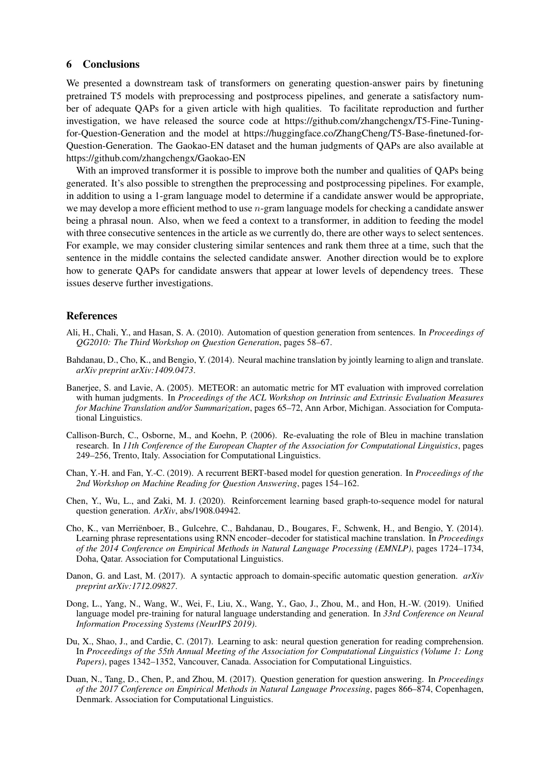#### <span id="page-7-0"></span>6 Conclusions

We presented a downstream task of transformers on generating question-answer pairs by finetuning pretrained T5 models with preprocessing and postprocess pipelines, and generate a satisfactory number of adequate QAPs for a given article with high qualities. To facilitate reproduction and further investigation, we have released the source code at https://github.com/zhangchengx/T5-Fine-Tuningfor-Question-Generation and the model at https://huggingface.co/ZhangCheng/T5-Base-finetuned-for-Question-Generation. The Gaokao-EN dataset and the human judgments of QAPs are also available at https://github.com/zhangchengx/Gaokao-EN

With an improved transformer it is possible to improve both the number and qualities of OAPs being generated. It's also possible to strengthen the preprocessing and postprocessing pipelines. For example, in addition to using a 1-gram language model to determine if a candidate answer would be appropriate, we may develop a more efficient method to use n-gram language models for checking a candidate answer being a phrasal noun. Also, when we feed a context to a transformer, in addition to feeding the model with three consecutive sentences in the article as we currently do, there are other ways to select sentences. For example, we may consider clustering similar sentences and rank them three at a time, such that the sentence in the middle contains the selected candidate answer. Another direction would be to explore how to generate QAPs for candidate answers that appear at lower levels of dependency trees. These issues deserve further investigations.

#### References

- <span id="page-7-2"></span>Ali, H., Chali, Y., and Hasan, S. A. (2010). Automation of question generation from sentences. In *Proceedings of QG2010: The Third Workshop on Question Generation*, pages 58–67.
- <span id="page-7-4"></span>Bahdanau, D., Cho, K., and Bengio, Y. (2014). Neural machine translation by jointly learning to align and translate. *arXiv preprint arXiv:1409.0473*.
- <span id="page-7-3"></span>Banerjee, S. and Lavie, A. (2005). METEOR: an automatic metric for MT evaluation with improved correlation with human judgments. In *Proceedings of the ACL Workshop on Intrinsic and Extrinsic Evaluation Measures for Machine Translation and/or Summarization*, pages 65–72, Ann Arbor, Michigan. Association for Computational Linguistics.
- <span id="page-7-11"></span>Callison-Burch, C., Osborne, M., and Koehn, P. (2006). Re-evaluating the role of Bleu in machine translation research. In *11th Conference of the European Chapter of the Association for Computational Linguistics*, pages 249–256, Trento, Italy. Association for Computational Linguistics.
- <span id="page-7-10"></span>Chan, Y.-H. and Fan, Y.-C. (2019). A recurrent BERT-based model for question generation. In *Proceedings of the 2nd Workshop on Machine Reading for Question Answering*, pages 154–162.
- <span id="page-7-9"></span>Chen, Y., Wu, L., and Zaki, M. J. (2020). Reinforcement learning based graph-to-sequence model for natural question generation. *ArXiv*, abs/1908.04942.
- <span id="page-7-5"></span>Cho, K., van Merrienboer, B., Gulcehre, C., Bahdanau, D., Bougares, F., Schwenk, H., and Bengio, Y. (2014). ¨ Learning phrase representations using RNN encoder–decoder for statistical machine translation. In *Proceedings of the 2014 Conference on Empirical Methods in Natural Language Processing (EMNLP)*, pages 1724–1734, Doha, Qatar. Association for Computational Linguistics.
- <span id="page-7-1"></span>Danon, G. and Last, M. (2017). A syntactic approach to domain-specific automatic question generation. *arXiv preprint arXiv:1712.09827*.
- <span id="page-7-8"></span>Dong, L., Yang, N., Wang, W., Wei, F., Liu, X., Wang, Y., Gao, J., Zhou, M., and Hon, H.-W. (2019). Unified language model pre-training for natural language understanding and generation. In *33rd Conference on Neural Information Processing Systems (NeurIPS 2019)*.
- <span id="page-7-6"></span>Du, X., Shao, J., and Cardie, C. (2017). Learning to ask: neural question generation for reading comprehension. In *Proceedings of the 55th Annual Meeting of the Association for Computational Linguistics (Volume 1: Long Papers)*, pages 1342–1352, Vancouver, Canada. Association for Computational Linguistics.
- <span id="page-7-7"></span>Duan, N., Tang, D., Chen, P., and Zhou, M. (2017). Question generation for question answering. In *Proceedings of the 2017 Conference on Empirical Methods in Natural Language Processing*, pages 866–874, Copenhagen, Denmark. Association for Computational Linguistics.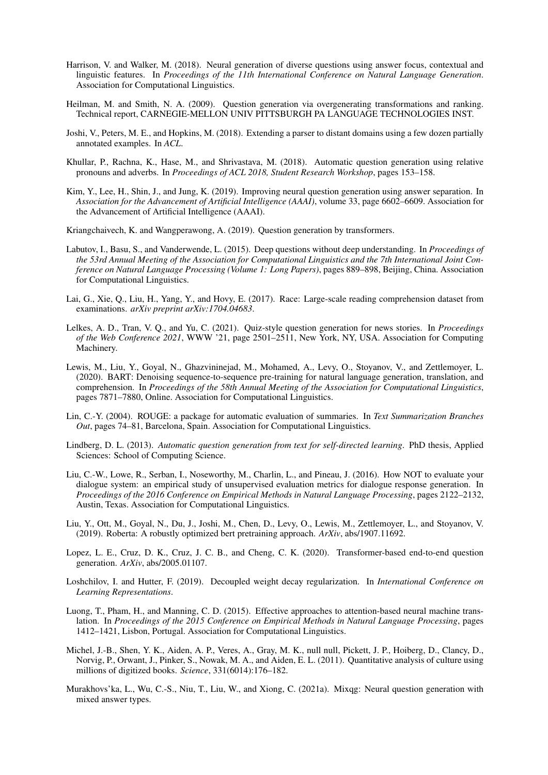- <span id="page-8-6"></span>Harrison, V. and Walker, M. (2018). Neural generation of diverse questions using answer focus, contextual and linguistic features. In *Proceedings of the 11th International Conference on Natural Language Generation*. Association for Computational Linguistics.
- <span id="page-8-0"></span>Heilman, M. and Smith, N. A. (2009). Question generation via overgenerating transformations and ranking. Technical report, CARNEGIE-MELLON UNIV PITTSBURGH PA LANGUAGE TECHNOLOGIES INST.
- <span id="page-8-16"></span>Joshi, V., Peters, M. E., and Hopkins, M. (2018). Extending a parser to distant domains using a few dozen partially annotated examples. In *ACL*.
- <span id="page-8-3"></span>Khullar, P., Rachna, K., Hase, M., and Shrivastava, M. (2018). Automatic question generation using relative pronouns and adverbs. In *Proceedings of ACL 2018, Student Research Workshop*, pages 153–158.
- <span id="page-8-7"></span>Kim, Y., Lee, H., Shin, J., and Jung, K. (2019). Improving neural question generation using answer separation. In *Association for the Advancement of Artificial Intelligence (AAAI)*, volume 33, page 6602–6609. Association for the Advancement of Artificial Intelligence (AAAI).
- <span id="page-8-9"></span>Kriangchaivech, K. and Wangperawong, A. (2019). Question generation by transformers.
- <span id="page-8-2"></span>Labutov, I., Basu, S., and Vanderwende, L. (2015). Deep questions without deep understanding. In *Proceedings of the 53rd Annual Meeting of the Association for Computational Linguistics and the 7th International Joint Conference on Natural Language Processing (Volume 1: Long Papers)*, pages 889–898, Beijing, China. Association for Computational Linguistics.
- <span id="page-8-12"></span>Lai, G., Xie, Q., Liu, H., Yang, Y., and Hovy, E. (2017). Race: Large-scale reading comprehension dataset from examinations. *arXiv preprint arXiv:1704.04683*.
- <span id="page-8-8"></span>Lelkes, A. D., Tran, V. Q., and Yu, C. (2021). Quiz-style question generation for news stories. In *Proceedings of the Web Conference 2021*, WWW '21, page 2501–2511, New York, NY, USA. Association for Computing Machinery.
- <span id="page-8-17"></span>Lewis, M., Liu, Y., Goyal, N., Ghazvininejad, M., Mohamed, A., Levy, O., Stoyanov, V., and Zettlemoyer, L. (2020). BART: Denoising sequence-to-sequence pre-training for natural language generation, translation, and comprehension. In *Proceedings of the 58th Annual Meeting of the Association for Computational Linguistics*, pages 7871–7880, Online. Association for Computational Linguistics.
- <span id="page-8-4"></span>Lin, C.-Y. (2004). ROUGE: a package for automatic evaluation of summaries. In *Text Summarization Branches Out*, pages 74–81, Barcelona, Spain. Association for Computational Linguistics.
- <span id="page-8-1"></span>Lindberg, D. L. (2013). *Automatic question generation from text for self-directed learning*. PhD thesis, Applied Sciences: School of Computing Science.
- <span id="page-8-18"></span>Liu, C.-W., Lowe, R., Serban, I., Noseworthy, M., Charlin, L., and Pineau, J. (2016). How NOT to evaluate your dialogue system: an empirical study of unsupervised evaluation metrics for dialogue response generation. In *Proceedings of the 2016 Conference on Empirical Methods in Natural Language Processing*, pages 2122–2132, Austin, Texas. Association for Computational Linguistics.
- <span id="page-8-15"></span>Liu, Y., Ott, M., Goyal, N., Du, J., Joshi, M., Chen, D., Levy, O., Lewis, M., Zettlemoyer, L., and Stoyanov, V. (2019). Roberta: A robustly optimized bert pretraining approach. *ArXiv*, abs/1907.11692.
- <span id="page-8-10"></span>Lopez, L. E., Cruz, D. K., Cruz, J. C. B., and Cheng, C. K. (2020). Transformer-based end-to-end question generation. *ArXiv*, abs/2005.01107.
- <span id="page-8-13"></span>Loshchilov, I. and Hutter, F. (2019). Decoupled weight decay regularization. In *International Conference on Learning Representations*.
- <span id="page-8-5"></span>Luong, T., Pham, H., and Manning, C. D. (2015). Effective approaches to attention-based neural machine translation. In *Proceedings of the 2015 Conference on Empirical Methods in Natural Language Processing*, pages 1412–1421, Lisbon, Portugal. Association for Computational Linguistics.
- <span id="page-8-14"></span>Michel, J.-B., Shen, Y. K., Aiden, A. P., Veres, A., Gray, M. K., null null, Pickett, J. P., Hoiberg, D., Clancy, D., Norvig, P., Orwant, J., Pinker, S., Nowak, M. A., and Aiden, E. L. (2011). Quantitative analysis of culture using millions of digitized books. *Science*, 331(6014):176–182.
- <span id="page-8-11"></span>Murakhovs'ka, L., Wu, C.-S., Niu, T., Liu, W., and Xiong, C. (2021a). Mixqg: Neural question generation with mixed answer types.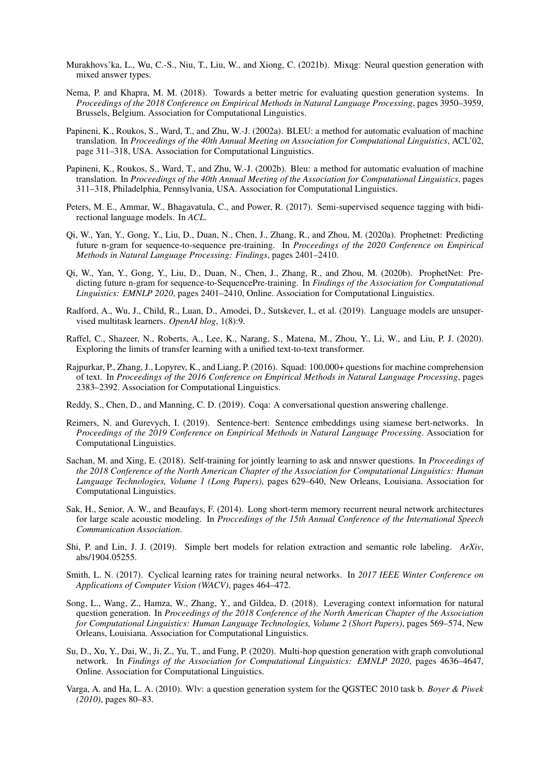- <span id="page-9-17"></span>Murakhovs'ka, L., Wu, C.-S., Niu, T., Liu, W., and Xiong, C. (2021b). Mixqg: Neural question generation with mixed answer types.
- <span id="page-9-18"></span>Nema, P. and Khapra, M. M. (2018). Towards a better metric for evaluating question generation systems. In *Proceedings of the 2018 Conference on Empirical Methods in Natural Language Processing*, pages 3950–3959, Brussels, Belgium. Association for Computational Linguistics.
- <span id="page-9-2"></span>Papineni, K., Roukos, S., Ward, T., and Zhu, W.-J. (2002a). BLEU: a method for automatic evaluation of machine translation. In *Proceedings of the 40th Annual Meeting on Association for Computational Linguistics*, ACL'02, page 311–318, USA. Association for Computational Linguistics.
- <span id="page-9-11"></span>Papineni, K., Roukos, S., Ward, T., and Zhu, W.-J. (2002b). Bleu: a method for automatic evaluation of machine translation. In *Proceedings of the 40th Annual Meeting of the Association for Computational Linguistics*, pages 311–318, Philadelphia, Pennsylvania, USA. Association for Computational Linguistics.
- <span id="page-9-13"></span>Peters, M. E., Ammar, W., Bhagavatula, C., and Power, R. (2017). Semi-supervised sequence tagging with bidirectional language models. In *ACL*.
- <span id="page-9-16"></span>Qi, W., Yan, Y., Gong, Y., Liu, D., Duan, N., Chen, J., Zhang, R., and Zhou, M. (2020a). Prophetnet: Predicting future n-gram for sequence-to-sequence pre-training. In *Proceedings of the 2020 Conference on Empirical Methods in Natural Language Processing: Findings*, pages 2401–2410.
- <span id="page-9-6"></span>Qi, W., Yan, Y., Gong, Y., Liu, D., Duan, N., Chen, J., Zhang, R., and Zhou, M. (2020b). ProphetNet: Predicting future n-gram for sequence-to-SequencePre-training. In *Findings of the Association for Computational Linguistics: EMNLP 2020*, pages 2401–2410, Online. Association for Computational Linguistics.
- <span id="page-9-8"></span>Radford, A., Wu, J., Child, R., Luan, D., Amodei, D., Sutskever, I., et al. (2019). Language models are unsupervised multitask learners. *OpenAI blog*, 1(8):9.
- <span id="page-9-0"></span>Raffel, C., Shazeer, N., Roberts, A., Lee, K., Narang, S., Matena, M., Zhou, Y., Li, W., and Liu, P. J. (2020). Exploring the limits of transfer learning with a unified text-to-text transformer.
- <span id="page-9-1"></span>Rajpurkar, P., Zhang, J., Lopyrev, K., and Liang, P. (2016). Squad: 100,000+ questions for machine comprehension of text. In *Proceedings of the 2016 Conference on Empirical Methods in Natural Language Processing*, pages 2383–2392. Association for Computational Linguistics.
- <span id="page-9-9"></span>Reddy, S., Chen, D., and Manning, C. D. (2019). Coqa: A conversational question answering challenge.
- <span id="page-9-15"></span>Reimers, N. and Gurevych, I. (2019). Sentence-bert: Sentence embeddings using siamese bert-networks. In *Proceedings of the 2019 Conference on Empirical Methods in Natural Language Processing*. Association for Computational Linguistics.
- <span id="page-9-4"></span>Sachan, M. and Xing, E. (2018). Self-training for jointly learning to ask and nnswer questions. In *Proceedings of the 2018 Conference of the North American Chapter of the Association for Computational Linguistics: Human Language Technologies, Volume 1 (Long Papers)*, pages 629–640, New Orleans, Louisiana. Association for Computational Linguistics.
- <span id="page-9-3"></span>Sak, H., Senior, A. W., and Beaufays, F. (2014). Long short-term memory recurrent neural network architectures for large scale acoustic modeling. In *Proccedings of the 15th Annual Conference of the International Speech Communication Association*.
- <span id="page-9-12"></span>Shi, P. and Lin, J. J. (2019). Simple bert models for relation extraction and semantic role labeling. *ArXiv*, abs/1904.05255.
- <span id="page-9-10"></span>Smith, L. N. (2017). Cyclical learning rates for training neural networks. In *2017 IEEE Winter Conference on Applications of Computer Vision (WACV)*, pages 464–472.
- <span id="page-9-5"></span>Song, L., Wang, Z., Hamza, W., Zhang, Y., and Gildea, D. (2018). Leveraging context information for natural question generation. In *Proceedings of the 2018 Conference of the North American Chapter of the Association for Computational Linguistics: Human Language Technologies, Volume 2 (Short Papers)*, pages 569–574, New Orleans, Louisiana. Association for Computational Linguistics.
- <span id="page-9-7"></span>Su, D., Xu, Y., Dai, W., Ji, Z., Yu, T., and Fung, P. (2020). Multi-hop question generation with graph convolutional network. In *Findings of the Association for Computational Linguistics: EMNLP 2020*, pages 4636–4647, Online. Association for Computational Linguistics.
- <span id="page-9-14"></span>Varga, A. and Ha, L. A. (2010). Wlv: a question generation system for the QGSTEC 2010 task b. *Boyer & Piwek (2010)*, pages 80–83.